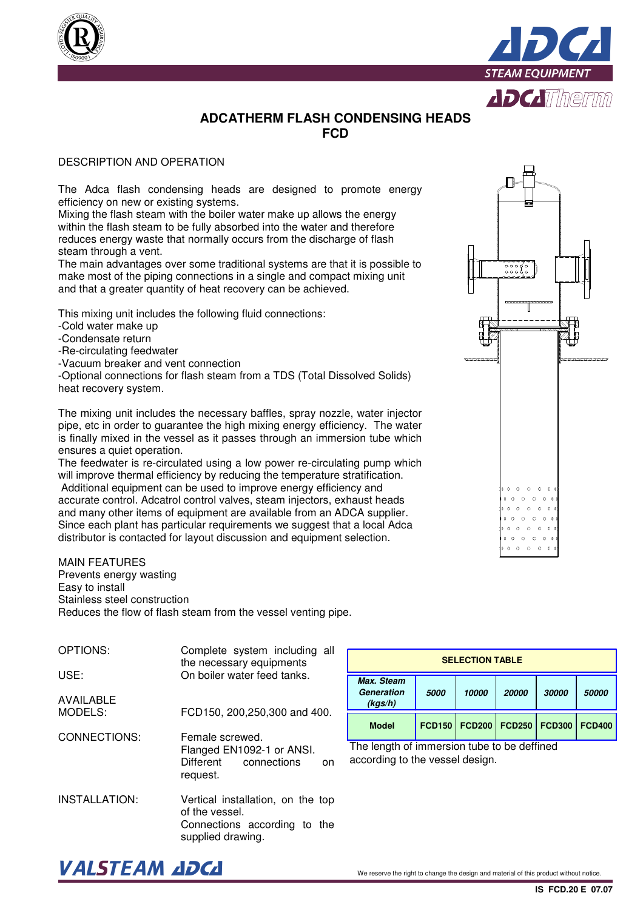



## **ADCATHERM FLASH CONDENSING HEADS FCD**

## DESCRIPTION AND OPERATION

The Adca flash condensing heads are designed to promote energy efficiency on new or existing systems.

Mixing the flash steam with the boiler water make up allows the energy within the flash steam to be fully absorbed into the water and therefore reduces energy waste that normally occurs from the discharge of flash steam through a vent.

The main advantages over some traditional systems are that it is possible to make most of the piping connections in a single and compact mixing unit and that a greater quantity of heat recovery can be achieved.

This mixing unit includes the following fluid connections:

- -Cold water make up
- -Condensate return
- -Re-circulating feedwater

-Vacuum breaker and vent connection

-Optional connections for flash steam from a TDS (Total Dissolved Solids) heat recovery system.

The mixing unit includes the necessary baffles, spray nozzle, water injector pipe, etc in order to guarantee the high mixing energy efficiency. The water is finally mixed in the vessel as it passes through an immersion tube which ensures a quiet operation.

The feedwater is re-circulated using a low power re-circulating pump which will improve thermal efficiency by reducing the temperature stratification. Additional equipment can be used to improve energy efficiency and accurate control. Adcatrol control valves, steam injectors, exhaust heads and many other items of equipment are available from an ADCA supplier. Since each plant has particular requirements we suggest that a local Adca distributor is contacted for layout discussion and equipment selection.

## MAIN FEATURES

Prevents energy wasting Easy to install Stainless steel construction Reduces the flow of flash steam from the vessel venting pipe.

- OPTIONS: USE: AVAILABLE MODELS: CONNECTIONS: Complete system including all the necessary equipments On boiler water feed tanks. FCD150, 200,250,300 and 400. Female screwed. Flanged EN1092-1 or ANSI.<br>Different connections on connections
- INSTALLATION: Vertical installation, on the top of the vessel. Connections according to the supplied drawing.

request.

| <b>SELECTION TABLE</b>                     |               |               |               |               |               |  |
|--------------------------------------------|---------------|---------------|---------------|---------------|---------------|--|
| Max. Steam<br><b>Generation</b><br>(kgs/h) | 5000          | 10000         | 20000         | 30000         | 50000         |  |
| <b>Model</b>                               | <b>FCD150</b> | <b>FCD200</b> | <b>FCD250</b> | <b>FCD300</b> | <b>FCD400</b> |  |

 $\Omega$  $\sim$ 

 $\Omega$  $\sim$ 

The length of immersion tube to be deffined according to the vessel design.